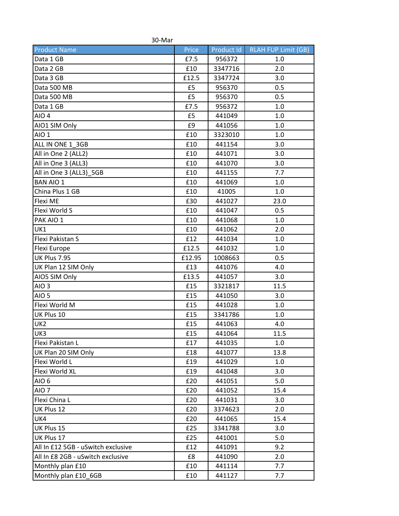| 30-Mar                             |        |            |                            |  |  |
|------------------------------------|--------|------------|----------------------------|--|--|
| <b>Product Name</b>                | Price  | Product Id | <b>RLAH FUP Limit (GB)</b> |  |  |
| Data 1 GB                          | £7.5   | 956372     | 1.0                        |  |  |
| Data 2 GB                          | £10    | 3347716    | 2.0                        |  |  |
| Data 3 GB                          | £12.5  | 3347724    | 3.0                        |  |  |
| Data 500 MB                        | £5     | 956370     | 0.5                        |  |  |
| Data 500 MB                        | £5     | 956370     | 0.5                        |  |  |
| Data 1 GB                          | £7.5   | 956372     | 1.0                        |  |  |
| AIO <sub>4</sub>                   | £5     | 441049     | 1.0                        |  |  |
| AIO1 SIM Only                      | £9     | 441056     | 1.0                        |  |  |
| AIO <sub>1</sub>                   | £10    | 3323010    | 1.0                        |  |  |
| ALL IN ONE 1_3GB                   | £10    | 441154     | 3.0                        |  |  |
| All in One 2 (ALL2)                | £10    | 441071     | 3.0                        |  |  |
| All in One 3 (ALL3)                | £10    | 441070     | 3.0                        |  |  |
| All in One 3 (ALL3) 5GB            | £10    | 441155     | 7.7                        |  |  |
| <b>BAN AIO 1</b>                   | £10    | 441069     | 1.0                        |  |  |
| China Plus 1 GB                    | £10    | 41005      | 1.0                        |  |  |
| <b>Flexi ME</b>                    | £30    | 441027     | 23.0                       |  |  |
| Flexi World S                      | £10    | 441047     | 0.5                        |  |  |
| PAK AIO 1                          | £10    | 441068     | 1.0                        |  |  |
| UK1                                | £10    | 441062     | 2.0                        |  |  |
| Flexi Pakistan S                   | £12    | 441034     | 1.0                        |  |  |
| Flexi Europe                       | £12.5  | 441032     | 1.0                        |  |  |
| UK Plus 7.95                       | £12.95 | 1008663    | 0.5                        |  |  |
| UK Plan 12 SIM Only                | £13    | 441076     | 4.0                        |  |  |
| AIO5 SIM Only                      | £13.5  | 441057     | 3.0                        |  |  |
| AIO <sub>3</sub>                   | £15    | 3321817    | 11.5                       |  |  |
| AIO <sub>5</sub>                   | £15    | 441050     | 3.0                        |  |  |
| Flexi World M                      | £15    | 441028     | 1.0                        |  |  |
| UK Plus 10                         | £15    | 3341786    | 1.0                        |  |  |
| UK <sub>2</sub>                    | £15    | 441063     | 4.0                        |  |  |
| UK3                                | £15    | 441064     | 11.5                       |  |  |
| Flexi Pakistan L                   | £17    | 441035     | 1.0                        |  |  |
| UK Plan 20 SIM Only                | £18    | 441077     | 13.8                       |  |  |
| Flexi World L                      | £19    | 441029     | 1.0                        |  |  |
| Flexi World XL                     | £19    | 441048     | 3.0                        |  |  |
| AIO 6                              | £20    | 441051     | 5.0                        |  |  |
| AIO <sub>7</sub>                   | £20    | 441052     | 15.4                       |  |  |
| Flexi China L                      | £20    | 441031     | 3.0                        |  |  |
| UK Plus 12                         | £20    | 3374623    | 2.0                        |  |  |
| UK4                                | £20    | 441065     | 15.4                       |  |  |
| UK Plus 15                         | £25    | 3341788    | 3.0                        |  |  |
| UK Plus 17                         | £25    | 441001     | 5.0                        |  |  |
| All In £12 5GB - uSwitch exclusive | £12    | 441091     | 9.2                        |  |  |
| All In £8 2GB - uSwitch exclusive  | £8     | 441090     | 2.0                        |  |  |
| Monthly plan £10                   | £10    | 441114     | 7.7                        |  |  |
| Monthly plan £10_6GB               | £10    | 441127     | 7.7                        |  |  |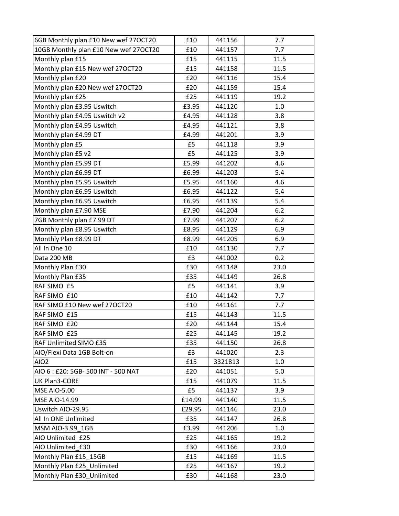| 6GB Monthly plan £10 New wef 27OCT20  | £10    | 441156  | 7.7  |
|---------------------------------------|--------|---------|------|
| 10GB Monthly plan £10 New wef 27OCT20 | £10    | 441157  | 7.7  |
| Monthly plan £15                      | £15    | 441115  | 11.5 |
| Monthly plan £15 New wef 270CT20      | £15    | 441158  | 11.5 |
| Monthly plan £20                      | £20    | 441116  | 15.4 |
| Monthly plan £20 New wef 27OCT20      | £20    | 441159  | 15.4 |
| Monthly plan £25                      | £25    | 441119  | 19.2 |
| Monthly plan £3.95 Uswitch            | £3.95  | 441120  | 1.0  |
| Monthly plan £4.95 Uswitch v2         | £4.95  | 441128  | 3.8  |
| Monthly plan £4.95 Uswitch            | £4.95  | 441121  | 3.8  |
| Monthly plan £4.99 DT                 | £4.99  | 441201  | 3.9  |
| Monthly plan £5                       | £5     | 441118  | 3.9  |
| Monthly plan £5 v2                    | £5     | 441125  | 3.9  |
| Monthly plan £5.99 DT                 | £5.99  | 441202  | 4.6  |
| Monthly plan £6.99 DT                 | £6.99  | 441203  | 5.4  |
| Monthly plan £5.95 Uswitch            | £5.95  | 441160  | 4.6  |
| Monthly plan £6.95 Uswitch            | £6.95  | 441122  | 5.4  |
| Monthly plan £6.95 Uswitch            | £6.95  | 441139  | 5.4  |
| Monthly plan £7.90 MSE                | £7.90  | 441204  | 6.2  |
| 7GB Monthly plan £7.99 DT             | £7.99  | 441207  | 6.2  |
| Monthly plan £8.95 Uswitch            | £8.95  | 441129  | 6.9  |
| Monthly Plan £8.99 DT                 | £8.99  | 441205  | 6.9  |
| All In One 10                         | £10    | 441130  | 7.7  |
| Data 200 MB                           | £3     | 441002  | 0.2  |
| Monthly Plan £30                      | £30    | 441148  | 23.0 |
| Monthly Plan £35                      | £35    | 441149  | 26.8 |
| RAF SIMO £5                           | £5     | 441141  | 3.9  |
| RAF SIMO £10                          | £10    | 441142  | 7.7  |
| RAF SIMO £10 New wef 270CT20          | £10    | 441161  | 7.7  |
| RAF SIMO £15                          | £15    | 441143  | 11.5 |
| RAF SIMO £20                          | £20    | 441144  | 15.4 |
| RAF SIMO £25                          | £25    | 441145  | 19.2 |
| RAF Unlimited SIMO £35                | £35    | 441150  | 26.8 |
| AIO/Flexi Data 1GB Bolt-on            | £3     | 441020  | 2.3  |
| AIO <sub>2</sub>                      | £15    | 3321813 | 1.0  |
| AIO 6 : £20: 5GB- 500 INT - 500 NAT   | £20    | 441051  | 5.0  |
| UK Plan3-CORE                         | £15    | 441079  | 11.5 |
| <b>MSE AIO-5.00</b>                   | £5     | 441137  | 3.9  |
| MSE AIO-14.99                         | £14.99 | 441140  | 11.5 |
| Uswitch AIO-29.95                     | £29.95 | 441146  | 23.0 |
| All In ONE Unlimited                  | £35    | 441147  | 26.8 |
| MSM AIO-3.99 1GB                      | £3.99  | 441206  | 1.0  |
| AIO Unlimited £25                     | £25    | 441165  | 19.2 |
| AIO Unlimited £30                     | £30    | 441166  | 23.0 |
| Monthly Plan £15 15GB                 | £15    | 441169  | 11.5 |
| Monthly Plan £25 Unlimited            | £25    | 441167  | 19.2 |
| Monthly Plan £30_Unlimited            | £30    | 441168  | 23.0 |